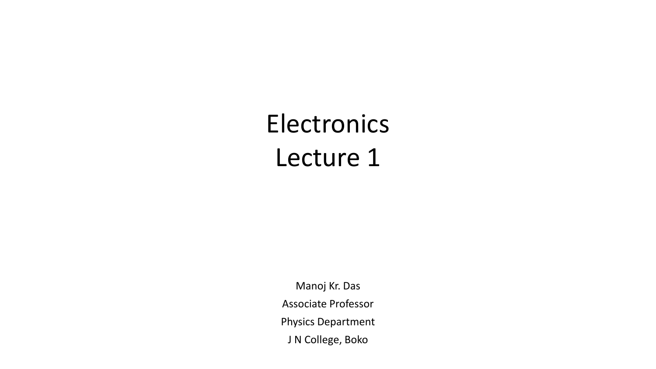## Electronics Lecture 1

Manoj Kr. Das Associate Professor Physics Department J N College, Boko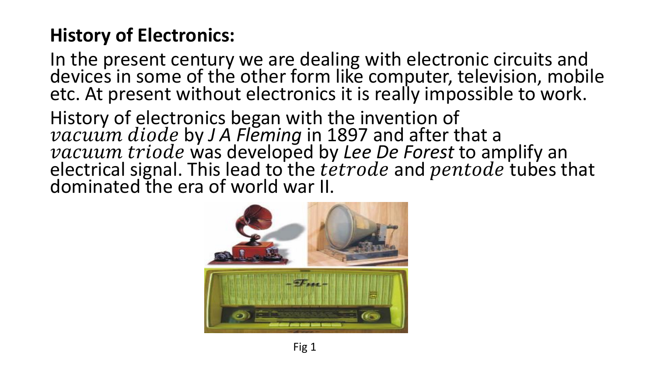## **History of Electronics:**

In the present century we are dealing with electronic circuits and devices in some of the other form like computer, television, mobile etc. At present without electronics it is really impossible to work.

History of electronics began with the invention of *vacuum diode* by J A Fleming in 1897 and after that a *vacuum triode was developed by Lee De Forest to amplify an* electrical signal. This lead to the  $t\acute{e}trode$  and  $pentode$  tubes that dominated the era of world war II.

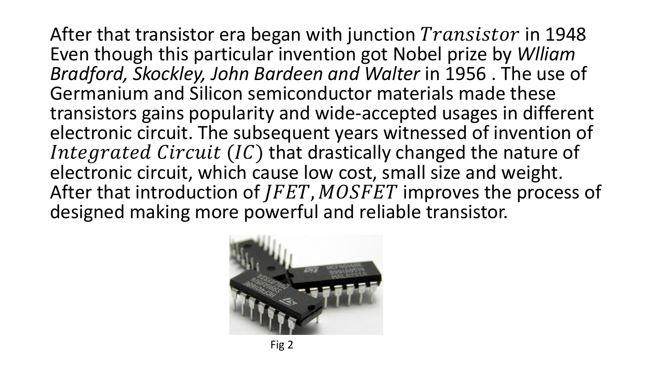After that transistor era began with junction  $Transistor$  in 1948 Even though this particular invention got Nobel prize by *Wlliam Bradford, Skockley, John Bardeen and Walter* in 1956 . The use of Germanium and Silicon semiconductor materials made these transistors gains popularity and wide-accepted usages in different electronic circuit. The subsequent years witnessed of invention of Integrated Circuit  $(IC)$  that drastically changed the nature of electronic circuit, which cause low cost, small size and weight. After that introduction of  $IFET$ ,  $MOSFET$  improves the process of designed making more powerful and reliable transistor.

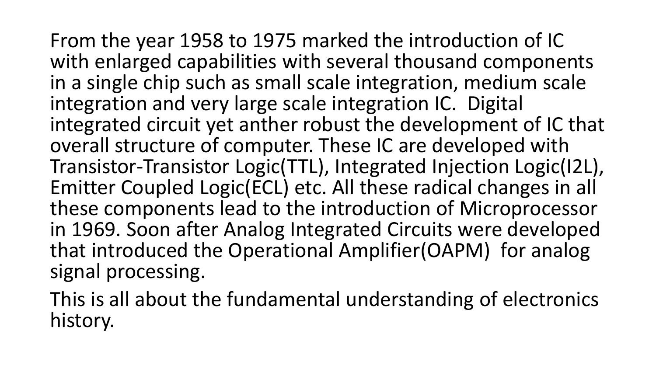From the year 1958 to 1975 marked the introduction of IC with enlarged capabilities with several thousand components in a single chip such as small scale integration, medium scale integration and very large scale integration IC. Digital integrated circuit yet anther robust the development of IC that overall structure of computer. These IC are developed with Transistor-Transistor Logic(TTL), Integrated Injection Logic(I2L), Emitter Coupled Logic(ECL) etc. All these radical changes in all these components lead to the introduction of Microprocessor in 1969. Soon after Analog Integrated Circuits were developed that introduced the Operational Amplifier(OAPM) for analog signal processing.

This is all about the fundamental understanding of electronics history.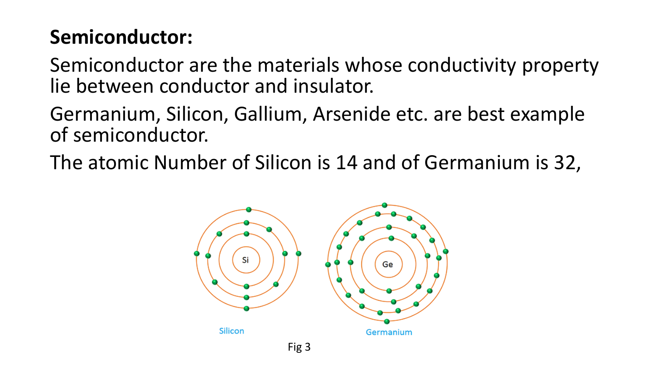## **Semiconductor:**

Semiconductor are the materials whose conductivity property lie between conductor and insulator.

Germanium, Silicon, Gallium, Arsenide etc. are best example of semiconductor.

The atomic Number of Silicon is 14 and of Germanium is 32,

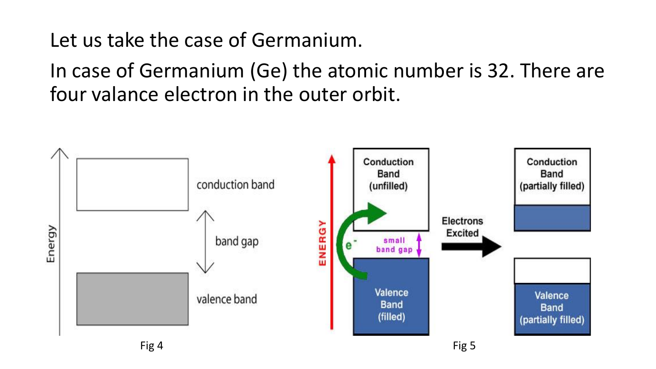Let us take the case of Germanium.

In case of Germanium (Ge) the atomic number is 32. There are four valance electron in the outer orbit.